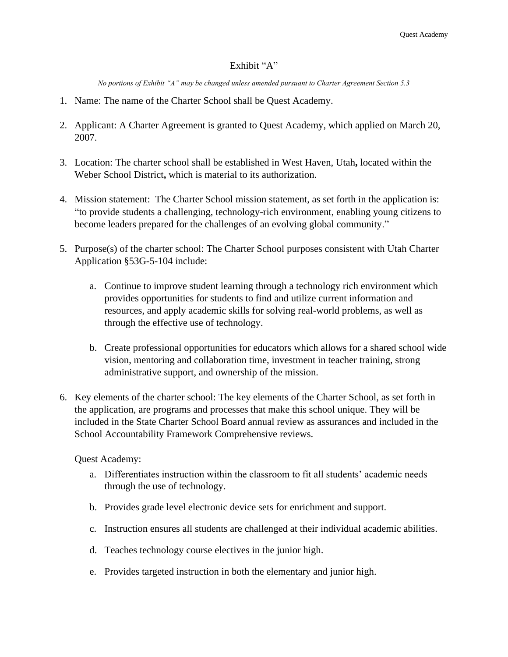## Exhibit "A"

*No portions of Exhibit "A" may be changed unless amended pursuant to Charter Agreement Section 5.3*

- 1. Name: The name of the Charter School shall be Quest Academy.
- 2. Applicant: A Charter Agreement is granted to Quest Academy, which applied on March 20, 2007.
- 3. Location: The charter school shall be established in West Haven, Utah**,** located within the Weber School District**,** which is material to its authorization.
- 4. Mission statement: The Charter School mission statement, as set forth in the application is: "to provide students a challenging, technology-rich environment, enabling young citizens to become leaders prepared for the challenges of an evolving global community."
- 5. Purpose(s) of the charter school: The Charter School purposes consistent with Utah Charter Application §53G-5-104 include:
	- a. Continue to improve student learning through a technology rich environment which provides opportunities for students to find and utilize current information and resources, and apply academic skills for solving real-world problems, as well as through the effective use of technology.
	- b. Create professional opportunities for educators which allows for a shared school wide vision, mentoring and collaboration time, investment in teacher training, strong administrative support, and ownership of the mission.
- 6. Key elements of the charter school: The key elements of the Charter School, as set forth in the application, are programs and processes that make this school unique. They will be included in the State Charter School Board annual review as assurances and included in the School Accountability Framework Comprehensive reviews.

Quest Academy:

- a. Differentiates instruction within the classroom to fit all students' academic needs through the use of technology.
- b. Provides grade level electronic device sets for enrichment and support.
- c. Instruction ensures all students are challenged at their individual academic abilities.
- d. Teaches technology course electives in the junior high.
- e. Provides targeted instruction in both the elementary and junior high.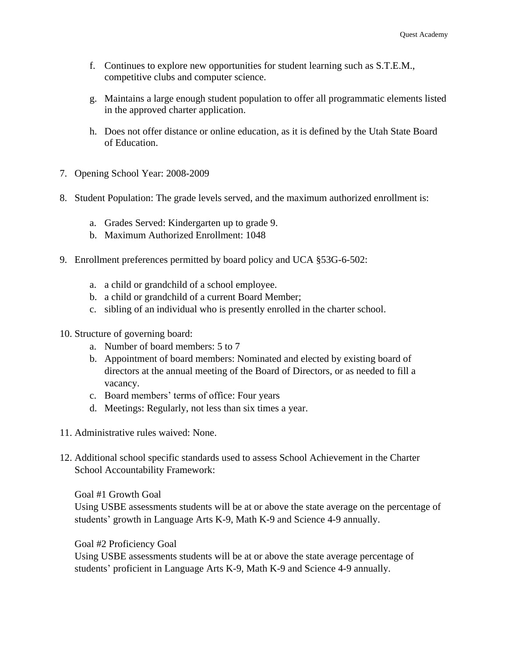- f. Continues to explore new opportunities for student learning such as S.T.E.M., competitive clubs and computer science.
- g. Maintains a large enough student population to offer all programmatic elements listed in the approved charter application.
- h. Does not offer distance or online education, as it is defined by the Utah State Board of Education.
- 7. Opening School Year: 2008-2009
- 8. Student Population: The grade levels served, and the maximum authorized enrollment is:
	- a. Grades Served: Kindergarten up to grade 9.
	- b. Maximum Authorized Enrollment: 1048
- 9. Enrollment preferences permitted by board policy and UCA §53G-6-502:
	- a. a child or grandchild of a school employee.
	- b. a child or grandchild of a current Board Member;
	- c. sibling of an individual who is presently enrolled in the charter school.
- 10. Structure of governing board:
	- a. Number of board members: 5 to 7
	- b. Appointment of board members: Nominated and elected by existing board of directors at the annual meeting of the Board of Directors, or as needed to fill a vacancy.
	- c. Board members' terms of office: Four years
	- d. Meetings: Regularly, not less than six times a year.
- 11. Administrative rules waived: None.
- 12. Additional school specific standards used to assess School Achievement in the Charter School Accountability Framework:

Goal #1 Growth Goal

Using USBE assessments students will be at or above the state average on the percentage of students' growth in Language Arts K-9, Math K-9 and Science 4-9 annually.

Goal #2 Proficiency Goal

Using USBE assessments students will be at or above the state average percentage of students' proficient in Language Arts K-9, Math K-9 and Science 4-9 annually.